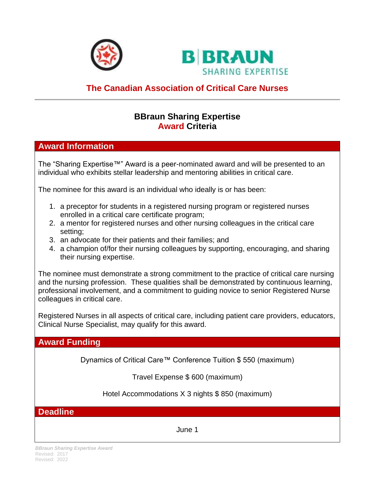



# **The Canadian Association of Critical Care Nurses**

# **BBraun Sharing Expertise Award Criteria**

# **Award Information**

The "Sharing Expertise™" Award is a peer-nominated award and will be presented to an individual who exhibits stellar leadership and mentoring abilities in critical care.

The nominee for this award is an individual who ideally is or has been:

- 1. a preceptor for students in a registered nursing program or registered nurses enrolled in a critical care certificate program;
- 2. a mentor for registered nurses and other nursing colleagues in the critical care setting;
- 3. an advocate for their patients and their families; and
- 4. a champion of/for their nursing colleagues by supporting, encouraging, and sharing their nursing expertise.

The nominee must demonstrate a strong commitment to the practice of critical care nursing and the nursing profession. These qualities shall be demonstrated by continuous learning, professional involvement, and a commitment to guiding novice to senior Registered Nurse colleagues in critical care.

Registered Nurses in all aspects of critical care, including patient care providers, educators, Clinical Nurse Specialist, may qualify for this award.

# **Award Funding**

Dynamics of Critical Care™ Conference Tuition \$ 550 (maximum)

Travel Expense \$ 600 (maximum)

Hotel Accommodations X 3 nights \$ 850 (maximum)

**Deadline**

June 1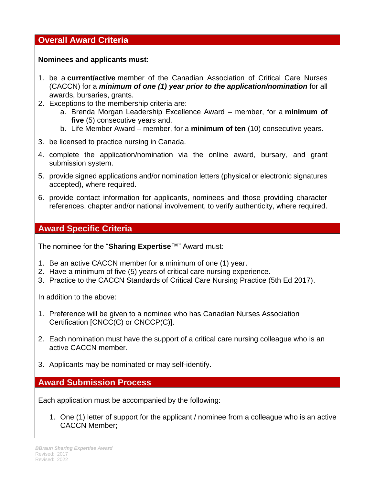### **Overall Award Criteria**

**Nominees and applicants must**:

- 1. be a **current/active** member of the Canadian Association of Critical Care Nurses (CACCN) for a *minimum of one (1) year prior to the application/nomination* for all awards, bursaries, grants.
- 2. Exceptions to the membership criteria are:
	- a. Brenda Morgan Leadership Excellence Award member, for a **minimum of five** (5) consecutive years and.
	- b. Life Member Award member, for a **minimum of ten** (10) consecutive years.
- 3. be licensed to practice nursing in Canada.
- 4. complete the application/nomination via the online award, bursary, and grant submission system.
- 5. provide signed applications and/or nomination letters (physical or electronic signatures accepted), where required.
- 6. provide contact information for applicants, nominees and those providing character references, chapter and/or national involvement, to verify authenticity, where required.

# **Award Specific Criteria**

The nominee for the "**Sharing Expertise**™" Award must:

- 1. Be an active CACCN member for a minimum of one (1) year.
- 2. Have a minimum of five (5) years of critical care nursing experience.
- 3. Practice to the CACCN Standards of Critical Care Nursing Practice (5th Ed 2017).

In addition to the above:

- 1. Preference will be given to a nominee who has Canadian Nurses Association Certification [CNCC(C) or CNCCP(C)].
- 2. Each nomination must have the support of a critical care nursing colleague who is an active CACCN member.
- 3. Applicants may be nominated or may self-identify.

**Award Submission Process**

Each application must be accompanied by the following:

1. One (1) letter of support for the applicant / nominee from a colleague who is an active CACCN Member;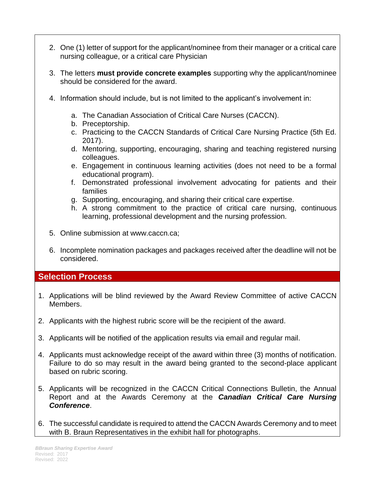- 2. One (1) letter of support for the applicant/nominee from their manager or a critical care nursing colleague, or a critical care Physician
- 3. The letters **must provide concrete examples** supporting why the applicant/nominee should be considered for the award.
- 4. Information should include, but is not limited to the applicant's involvement in:
	- a. The Canadian Association of Critical Care Nurses (CACCN).
	- b. Preceptorship.
	- c. Practicing to the CACCN Standards of Critical Care Nursing Practice (5th Ed. 2017).
	- d. Mentoring, supporting, encouraging, sharing and teaching registered nursing colleagues.
	- e. Engagement in continuous learning activities (does not need to be a formal educational program).
	- f. Demonstrated professional involvement advocating for patients and their families
	- g. Supporting, encouraging, and sharing their critical care expertise.
	- h. A strong commitment to the practice of critical care nursing, continuous learning, professional development and the nursing profession.
- 5. Online submission at www.caccn.ca;
- 6. Incomplete nomination packages and packages received after the deadline will not be considered.

#### **Selection Process**

- 1. Applications will be blind reviewed by the Award Review Committee of active CACCN Members.
- 2. Applicants with the highest rubric score will be the recipient of the award.
- 3. Applicants will be notified of the application results via email and regular mail.
- 4. Applicants must acknowledge receipt of the award within three (3) months of notification. Failure to do so may result in the award being granted to the second-place applicant based on rubric scoring.
- 5. Applicants will be recognized in the CACCN Critical Connections Bulletin, the Annual Report and at the Awards Ceremony at the *Canadian Critical Care Nursing Conference*.
- 6. The successful candidate is required to attend the CACCN Awards Ceremony and to meet with B. Braun Representatives in the exhibit hall for photographs.